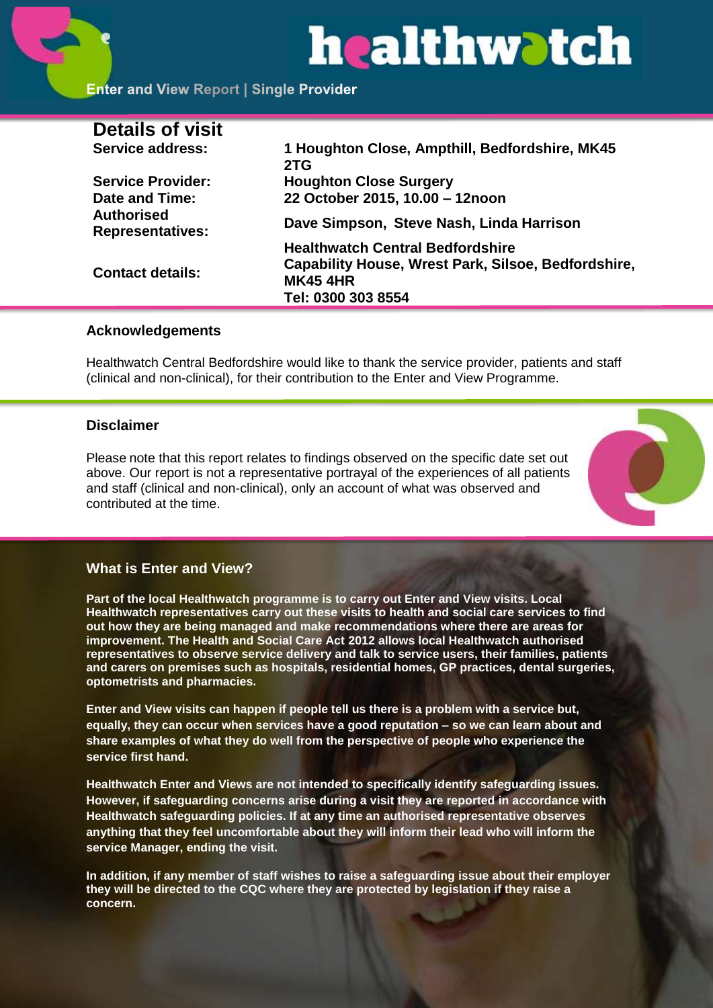# healthwatch

# **Enter and View Report | Single Provider**

| <b>Details of visit</b>                      |                                                                                                                                         |
|----------------------------------------------|-----------------------------------------------------------------------------------------------------------------------------------------|
| Service address:                             | 1 Houghton Close, Ampthill, Bedfordshire, MK45<br>2TG                                                                                   |
| <b>Service Provider:</b>                     | <b>Houghton Close Surgery</b>                                                                                                           |
| Date and Time:                               | 22 October 2015, 10.00 - 12noon                                                                                                         |
| <b>Authorised</b><br><b>Representatives:</b> | Dave Simpson, Steve Nash, Linda Harrison                                                                                                |
| <b>Contact details:</b>                      | <b>Healthwatch Central Bedfordshire</b><br>Capability House, Wrest Park, Silsoe, Bedfordshire,<br><b>MK45 4HR</b><br>Tel: 0300 303 8554 |

#### **Acknowledgements**

Healthwatch Central Bedfordshire would like to thank the service provider, patients and staff (clinical and non-clinical), for their contribution to the Enter and View Programme.

#### **Disclaimer**

Please note that this report relates to findings observed on the specific date set out above. Our report is not a representative portrayal of the experiences of all patients and staff (clinical and non-clinical), only an account of what was observed and contributed at the time.



#### **What is Enter and View?**

**Part of the local Healthwatch programme is to carry out Enter and View visits. Local Healthwatch representatives carry out these visits to health and social care services to find out how they are being managed and make recommendations where there are areas for improvement. The Health and Social Care Act 2012 allows local Healthwatch authorised representatives to observe service delivery and talk to service users, their families, patients and carers on premises such as hospitals, residential homes, GP practices, dental surgeries, optometrists and pharmacies.** 

**Enter and View visits can happen if people tell us there is a problem with a service but, equally, they can occur when services have a good reputation – so we can learn about and share examples of what they do well from the perspective of people who experience the service first hand.**

**Healthwatch Enter and Views are not intended to specifically identify safeguarding issues. However, if safeguarding concerns arise during a visit they are reported in accordance with Healthwatch safeguarding policies. If at any time an authorised representative observes anything that they feel uncomfortable about they will inform their lead who will inform the service Manager, ending the visit.** 

**In addition, if any member of staff wishes to raise a safeguarding issue about their employer they will be directed to the CQC where they are protected by legislation if they raise a concern.**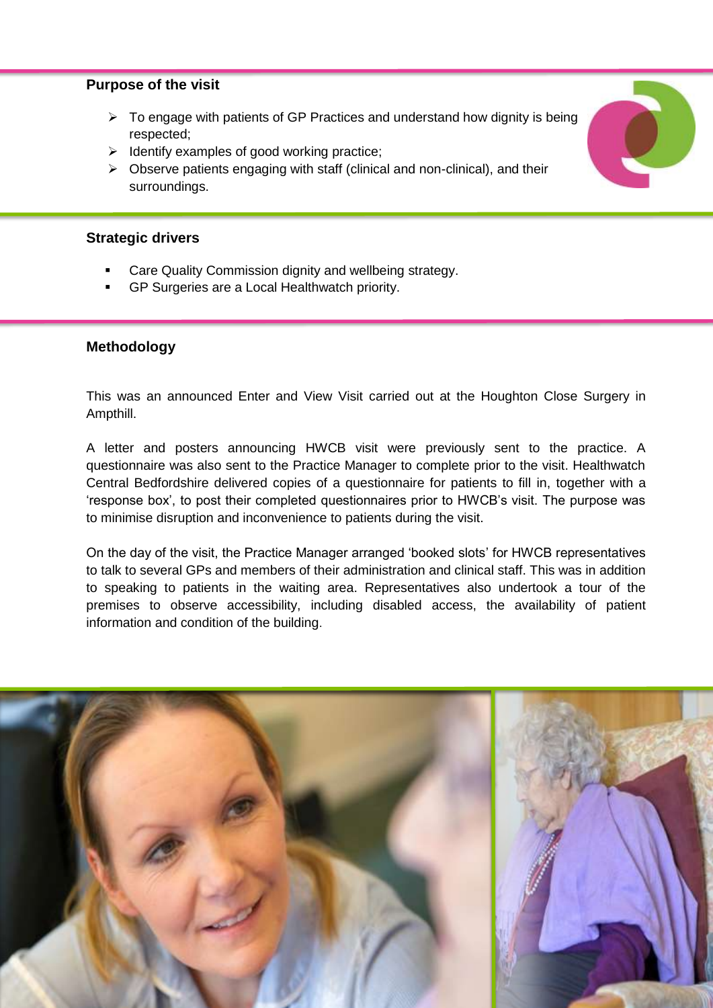#### **Purpose of the visit**

- $\triangleright$  To engage with patients of GP Practices and understand how dignity is being respected;
- $\triangleright$  Identify examples of good working practice;
- $\triangleright$  Observe patients engaging with staff (clinical and non-clinical), and their surroundings.

#### **Strategic drivers**

- Care Quality Commission dignity and wellbeing strategy.
- GP Surgeries are a Local Healthwatch priority.

#### **Methodology**

This was an announced Enter and View Visit carried out at the Houghton Close Surgery in Ampthill.

A letter and posters announcing HWCB visit were previously sent to the practice. A questionnaire was also sent to the Practice Manager to complete prior to the visit. Healthwatch Central Bedfordshire delivered copies of a questionnaire for patients to fill in, together with a 'response box', to post their completed questionnaires prior to HWCB's visit. The purpose was to minimise disruption and inconvenience to patients during the visit.

On the day of the visit, the Practice Manager arranged 'booked slots' for HWCB representatives to talk to several GPs and members of their administration and clinical staff. This was in addition to speaking to patients in the waiting area. Representatives also undertook a tour of the premises to observe accessibility, including disabled access, the availability of patient information and condition of the building.

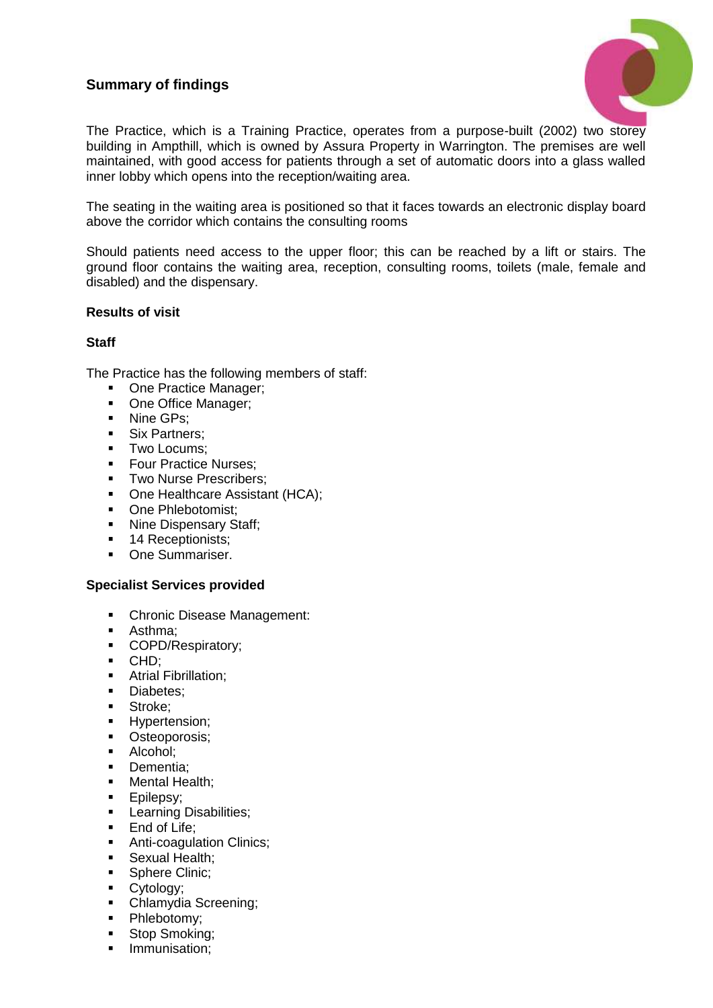## **Summary of findings**



The Practice, which is a Training Practice, operates from a purpose-built (2002) two storey building in Ampthill, which is owned by Assura Property in Warrington. The premises are well maintained, with good access for patients through a set of automatic doors into a glass walled inner lobby which opens into the reception/waiting area.

The seating in the waiting area is positioned so that it faces towards an electronic display board above the corridor which contains the consulting rooms

Should patients need access to the upper floor; this can be reached by a lift or stairs. The ground floor contains the waiting area, reception, consulting rooms, toilets (male, female and disabled) and the dispensary.

#### **Results of visit**

#### **Staff**

The Practice has the following members of staff:

- One Practice Manager;
- One Office Manager;
- Nine GPs:
- **Six Partners:**
- **Two Locums:**
- **Four Practice Nurses:**
- **Two Nurse Prescribers:**
- One Healthcare Assistant (HCA);
- One Phlebotomist;
- Nine Dispensary Staff;
- 14 Receptionists;
- **One Summariser.**

#### **Specialist Services provided**

- **Chronic Disease Management:**
- Asthma;
- COPD/Respiratory;
- CHD;
- **Atrial Fibrillation:**
- Diabetes:
- **Stroke:**
- **-** Hypertension;
- **•** Osteoporosis;
- Alcohol;
- **Dementia:**
- Mental Health:
- **Epilepsy:**
- **Learning Disabilities:**
- **End of Life:**
- **Anti-coagulation Clinics;**
- **Sexual Health;**
- Sphere Clinic:
- **Cytology**;
- Chlamydia Screening:
- · Phlebotomy;
- **Stop Smoking:**
- **Immunisation;**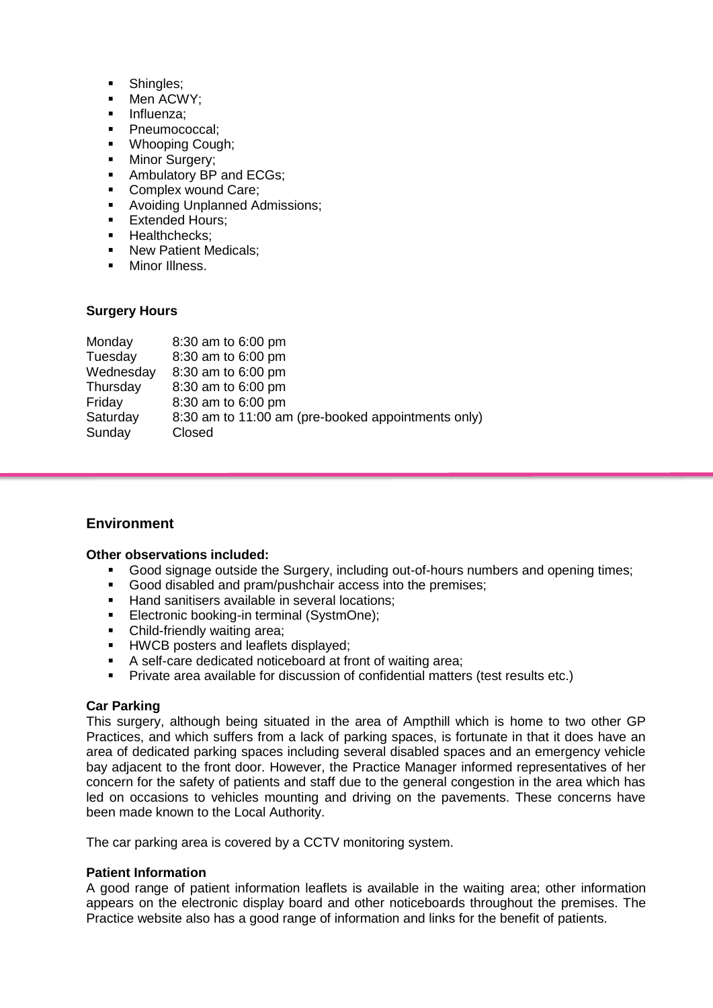- Shingles;
- Men ACWY:
- **Influenza**
- **Pheumococcal:**
- **•** Whooping Cough;
- **Minor Surgery;**
- Ambulatory BP and ECGs;
- Complex wound Care;
- **Avoiding Unplanned Admissions:**
- **Extended Hours:**
- **Healthchecks:**
- **New Patient Medicals:**
- Minor Illness.

#### **Surgery Hours**

| Monday    | 8:30 am to 6:00 pm                                 |
|-----------|----------------------------------------------------|
| Tuesday   | 8:30 am to 6:00 pm                                 |
| Wednesday | 8:30 am to 6:00 pm                                 |
| Thursday  | 8:30 am to 6:00 pm                                 |
| Friday    | 8:30 am to 6:00 pm                                 |
| Saturday  | 8:30 am to 11:00 am (pre-booked appointments only) |
| Sunday    | Closed                                             |
|           |                                                    |

#### **Environment**

#### **Other observations included:**

- Good signage outside the Surgery, including out-of-hours numbers and opening times;
- Good disabled and pram/pushchair access into the premises;
- Hand sanitisers available in several locations;
- Electronic booking-in terminal (SystmOne);
- Child-friendly waiting area;
- **HWCB** posters and leaflets displayed;
- A self-care dedicated noticeboard at front of waiting area;
- Private area available for discussion of confidential matters (test results etc.)

#### **Car Parking**

This surgery, although being situated in the area of Ampthill which is home to two other GP Practices, and which suffers from a lack of parking spaces, is fortunate in that it does have an area of dedicated parking spaces including several disabled spaces and an emergency vehicle bay adjacent to the front door. However, the Practice Manager informed representatives of her concern for the safety of patients and staff due to the general congestion in the area which has led on occasions to vehicles mounting and driving on the pavements. These concerns have been made known to the Local Authority.

The car parking area is covered by a CCTV monitoring system.

#### **Patient Information**

A good range of patient information leaflets is available in the waiting area; other information appears on the electronic display board and other noticeboards throughout the premises. The Practice website also has a good range of information and links for the benefit of patients.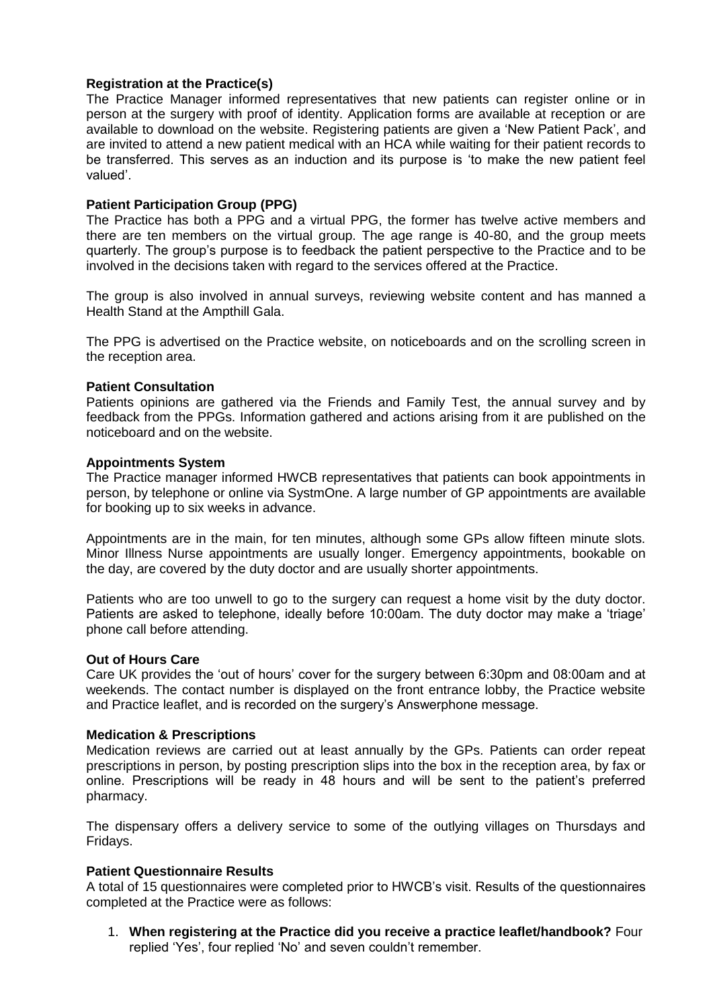#### **Registration at the Practice(s)**

The Practice Manager informed representatives that new patients can register online or in person at the surgery with proof of identity. Application forms are available at reception or are available to download on the website. Registering patients are given a 'New Patient Pack', and are invited to attend a new patient medical with an HCA while waiting for their patient records to be transferred. This serves as an induction and its purpose is 'to make the new patient feel valued'.

#### **Patient Participation Group (PPG)**

The Practice has both a PPG and a virtual PPG, the former has twelve active members and there are ten members on the virtual group. The age range is 40-80, and the group meets quarterly. The group's purpose is to feedback the patient perspective to the Practice and to be involved in the decisions taken with regard to the services offered at the Practice.

The group is also involved in annual surveys, reviewing website content and has manned a Health Stand at the Ampthill Gala.

The PPG is advertised on the Practice website, on noticeboards and on the scrolling screen in the reception area.

#### **Patient Consultation**

Patients opinions are gathered via the Friends and Family Test, the annual survey and by feedback from the PPGs. Information gathered and actions arising from it are published on the noticeboard and on the website.

#### **Appointments System**

The Practice manager informed HWCB representatives that patients can book appointments in person, by telephone or online via SystmOne. A large number of GP appointments are available for booking up to six weeks in advance.

Appointments are in the main, for ten minutes, although some GPs allow fifteen minute slots. Minor Illness Nurse appointments are usually longer. Emergency appointments, bookable on the day, are covered by the duty doctor and are usually shorter appointments.

Patients who are too unwell to go to the surgery can request a home visit by the duty doctor. Patients are asked to telephone, ideally before 10:00am. The duty doctor may make a 'triage' phone call before attending.

#### **Out of Hours Care**

Care UK provides the 'out of hours' cover for the surgery between 6:30pm and 08:00am and at weekends. The contact number is displayed on the front entrance lobby, the Practice website and Practice leaflet, and is recorded on the surgery's Answerphone message.

#### **Medication & Prescriptions**

Medication reviews are carried out at least annually by the GPs. Patients can order repeat prescriptions in person, by posting prescription slips into the box in the reception area, by fax or online. Prescriptions will be ready in 48 hours and will be sent to the patient's preferred pharmacy.

The dispensary offers a delivery service to some of the outlying villages on Thursdays and Fridays.

#### **Patient Questionnaire Results**

A total of 15 questionnaires were completed prior to HWCB's visit. Results of the questionnaires completed at the Practice were as follows:

1. **When registering at the Practice did you receive a practice leaflet/handbook?** Four replied 'Yes', four replied 'No' and seven couldn't remember.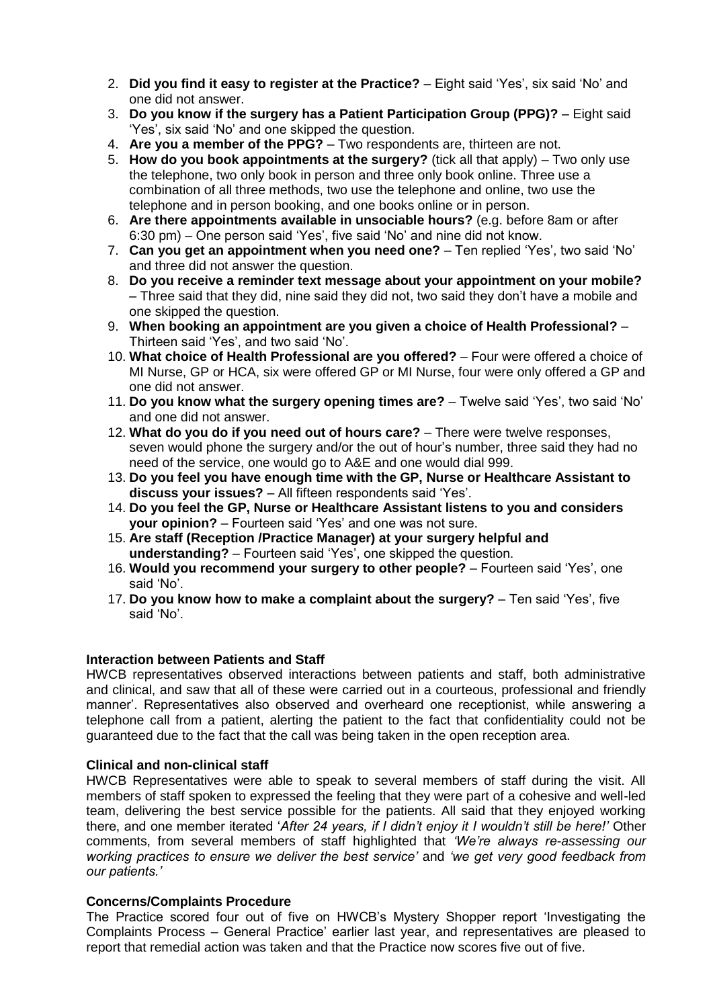- 2. **Did you find it easy to register at the Practice?** Eight said 'Yes', six said 'No' and one did not answer.
- 3. **Do you know if the surgery has a Patient Participation Group (PPG)?** Eight said 'Yes', six said 'No' and one skipped the question.
- 4. **Are you a member of the PPG?** Two respondents are, thirteen are not.
- 5. **How do you book appointments at the surgery?** (tick all that apply) Two only use the telephone, two only book in person and three only book online. Three use a combination of all three methods, two use the telephone and online, two use the telephone and in person booking, and one books online or in person.
- 6. **Are there appointments available in unsociable hours?** (e.g. before 8am or after 6:30 pm) – One person said 'Yes', five said 'No' and nine did not know.
- 7. **Can you get an appointment when you need one?** Ten replied 'Yes', two said 'No' and three did not answer the question.
- 8. **Do you receive a reminder text message about your appointment on your mobile?** – Three said that they did, nine said they did not, two said they don't have a mobile and one skipped the question.
- 9. **When booking an appointment are you given a choice of Health Professional?** Thirteen said 'Yes', and two said 'No'.
- 10. **What choice of Health Professional are you offered?** Four were offered a choice of MI Nurse, GP or HCA, six were offered GP or MI Nurse, four were only offered a GP and one did not answer.
- 11. **Do you know what the surgery opening times are?** Twelve said 'Yes', two said 'No' and one did not answer.
- 12. **What do you do if you need out of hours care?** There were twelve responses, seven would phone the surgery and/or the out of hour's number, three said they had no need of the service, one would go to A&E and one would dial 999.
- 13. **Do you feel you have enough time with the GP, Nurse or Healthcare Assistant to discuss your issues?** – All fifteen respondents said 'Yes'.
- 14. **Do you feel the GP, Nurse or Healthcare Assistant listens to you and considers your opinion?** – Fourteen said 'Yes' and one was not sure.
- 15. **Are staff (Reception /Practice Manager) at your surgery helpful and understanding?** – Fourteen said 'Yes', one skipped the question.
- 16. **Would you recommend your surgery to other people?** Fourteen said 'Yes', one said 'No'.
- 17. **Do you know how to make a complaint about the surgery?** Ten said 'Yes', five said 'No'.

#### **Interaction between Patients and Staff**

HWCB representatives observed interactions between patients and staff, both administrative and clinical, and saw that all of these were carried out in a courteous, professional and friendly manner'. Representatives also observed and overheard one receptionist, while answering a telephone call from a patient, alerting the patient to the fact that confidentiality could not be guaranteed due to the fact that the call was being taken in the open reception area.

#### **Clinical and non-clinical staff**

HWCB Representatives were able to speak to several members of staff during the visit. All members of staff spoken to expressed the feeling that they were part of a cohesive and well-led team, delivering the best service possible for the patients. All said that they enjoyed working there, and one member iterated '*After 24 years, if I didn't enjoy it I wouldn't still be here!'* Other comments, from several members of staff highlighted that *'We're always re-assessing our working practices to ensure we deliver the best service'* and *'we get very good feedback from our patients.'*

#### **Concerns/Complaints Procedure**

The Practice scored four out of five on HWCB's Mystery Shopper report 'Investigating the Complaints Process – General Practice' earlier last year, and representatives are pleased to report that remedial action was taken and that the Practice now scores five out of five.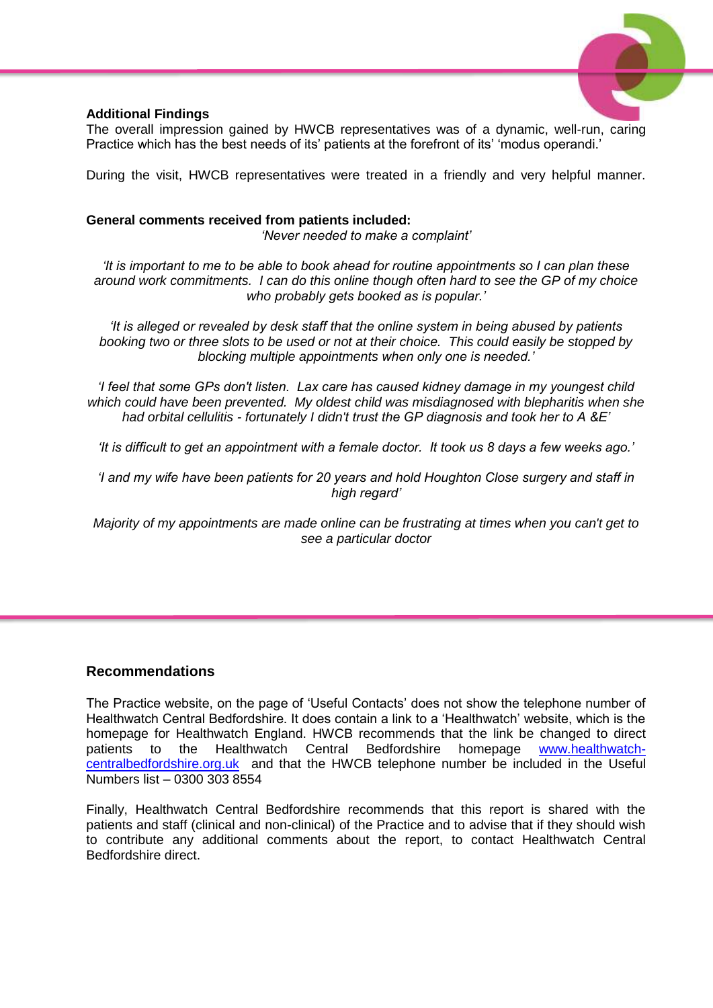

#### **Additional Findings**

The overall impression gained by HWCB representatives was of a dynamic, well-run, caring Practice which has the best needs of its' patients at the forefront of its' 'modus operandi.'

During the visit, HWCB representatives were treated in a friendly and very helpful manner.

#### **General comments received from patients included:**

*'Never needed to make a complaint'*

*'It is important to me to be able to book ahead for routine appointments so I can plan these around work commitments. I can do this online though often hard to see the GP of my choice who probably gets booked as is popular.'*

*'It is alleged or revealed by desk staff that the online system in being abused by patients booking two or three slots to be used or not at their choice. This could easily be stopped by blocking multiple appointments when only one is needed.'*

*'I feel that some GPs don't listen. Lax care has caused kidney damage in my youngest child which could have been prevented. My oldest child was misdiagnosed with blepharitis when she had orbital cellulitis - fortunately I didn't trust the GP diagnosis and took her to A &E'*

*'It is difficult to get an appointment with a female doctor. It took us 8 days a few weeks ago.'*

*'I and my wife have been patients for 20 years and hold Houghton Close surgery and staff in high regard'*

*Majority of my appointments are made online can be frustrating at times when you can't get to see a particular doctor*

### **Recommendations**

The Practice website, on the page of 'Useful Contacts' does not show the telephone number of Healthwatch Central Bedfordshire. It does contain a link to a 'Healthwatch' website, which is the homepage for Healthwatch England. HWCB recommends that the link be changed to direct patients to the Healthwatch Central Bedfordshire homepage [www.healthwatch](http://www.healthwatch-centralbedfordshire.org.uk/)[centralbedfordshire.org.uk](http://www.healthwatch-centralbedfordshire.org.uk/) and that the HWCB telephone number be included in the Useful Numbers list – 0300 303 8554

Finally, Healthwatch Central Bedfordshire recommends that this report is shared with the patients and staff (clinical and non-clinical) of the Practice and to advise that if they should wish to contribute any additional comments about the report, to contact Healthwatch Central Bedfordshire direct.